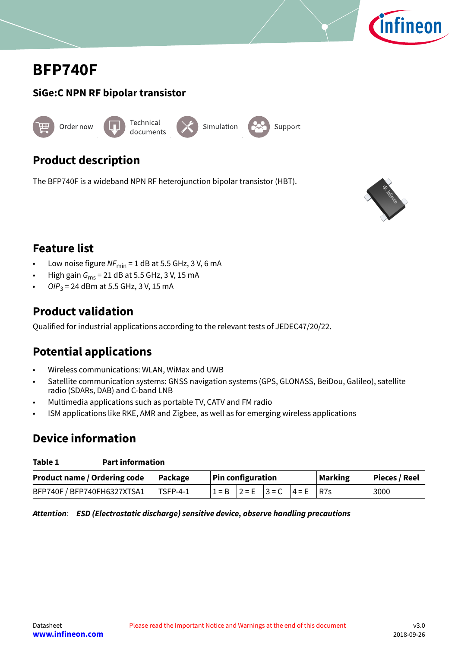

# <span id="page-0-0"></span>**BFP740F**

# **SiGe:C NPN RF bipolar transistor**



# **Product description**

The BFP740F is a wideband NPN RF heterojunction bipolar transistor (HBT).



# **Feature list**

- Low noise figure  $NF_{min} = 1$  dB at 5.5 GHz, 3 V, 6 mA
- High gain  $G_{\text{ms}}$  = 21 dB at 5.5 GHz, 3 V, 15 mA
- OI $P_3$  = 24 dBm at 5.5 GHz, 3 V, 15 mA

# **Product validation**

Qualified for industrial applications according to the relevant tests of JEDEC47/20/22.

# **Potential applications**

- Wireless communications: WLAN, WiMax and UWB
- Satellite communication systems: GNSS navigation systems (GPS, GLONASS, BeiDou, Galileo), satellite radio (SDARs, DAB) and C-band LNB
- Multimedia applications such as portable TV, CATV and FM radio
- ISM applications like RKE, AMR and Zigbee, as well as for emerging wireless applications

# **Device information**

### **Table 1 Part information**

| Product name / Ordering code   Package |                  | <b>Pin configuration</b> |                               |  |  | <b>Marking</b> | Pieces / Reel |
|----------------------------------------|------------------|--------------------------|-------------------------------|--|--|----------------|---------------|
| BFP740F / BFP740FH6327XTSA1            | $\vert$ TSFP-4-1 |                          | $1 = B$ 2 = E 3 = C 4 = E R7s |  |  |                | 3000          |

**Attention**: **ESD (Electrostatic discharge) sensitive device, observe handling precautions**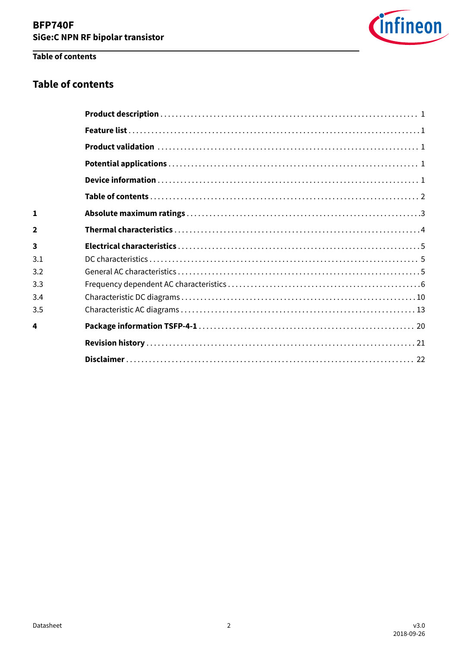

# Table of contents

# **Table of contents**

| 1            |  |
|--------------|--|
| $\mathbf{2}$ |  |
| 3            |  |
| 3.1          |  |
| 3.2          |  |
| 3.3          |  |
| 3.4          |  |
| 3.5          |  |
| 4            |  |
|              |  |
|              |  |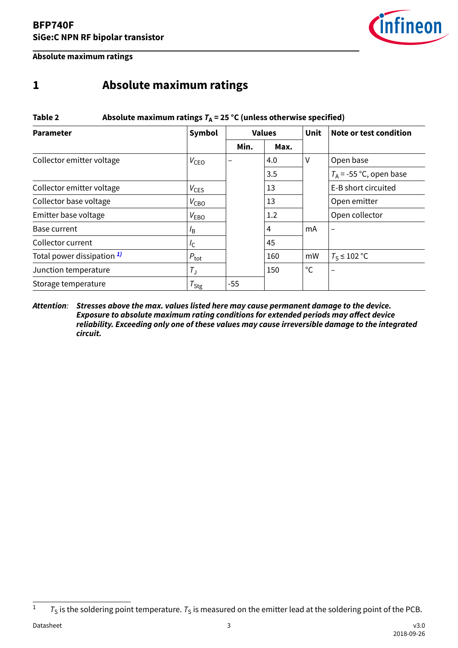

<span id="page-2-0"></span>**Absolute maximum ratings**

# **1 Absolute maximum ratings**

| Table 2<br>Absolute maximum ratings $T_A$ = 25 °C (unless otherwise specified) |                  |      |               |             |                           |  |  |  |  |  |
|--------------------------------------------------------------------------------|------------------|------|---------------|-------------|---------------------------|--|--|--|--|--|
| <b>Parameter</b>                                                               | Symbol           |      | <b>Values</b> | <b>Unit</b> | Note or test condition    |  |  |  |  |  |
|                                                                                |                  | Min. | Max.          |             |                           |  |  |  |  |  |
| Collector emitter voltage                                                      | $V_{\text{CEO}}$ |      | 4.0           | V           | Open base                 |  |  |  |  |  |
|                                                                                |                  |      | 3.5           |             | $T_A$ = -55 °C, open base |  |  |  |  |  |
| Collector emitter voltage                                                      | $V_{\text{CES}}$ |      | 13            |             | E-B short circuited       |  |  |  |  |  |
| Collector base voltage                                                         | $V_{\text{CBO}}$ |      | 13            |             | Open emitter              |  |  |  |  |  |
| Emitter base voltage                                                           | $V_{EBO}$        |      | 1.2           |             | Open collector            |  |  |  |  |  |
| Base current                                                                   | $l_{\mathsf{B}}$ |      | 4             | mA          | $\overline{\phantom{0}}$  |  |  |  |  |  |
| Collector current                                                              | $I_{\rm C}$      |      | 45            |             |                           |  |  |  |  |  |
| Total power dissipation 1)                                                     | $P_{\text{tot}}$ |      | 160           | mW          | $T_S \leq 102$ °C         |  |  |  |  |  |
| Junction temperature                                                           | $T_{\rm J}$      |      | 150           | $^{\circ}C$ |                           |  |  |  |  |  |
| Storage temperature                                                            | $T_{\text{Stg}}$ | -55  |               |             |                           |  |  |  |  |  |

### **Attention**: **Stresses above the max. values listed here may cause permanent damage to the device. Exposure to absolute maximum rating conditions for extended periods may affect device reliability. Exceeding only one of these values may cause irreversible damage to the integrated circuit.**

 $1 - T_S$  is the soldering point temperature.  $T_S$  is measured on the emitter lead at the soldering point of the PCB.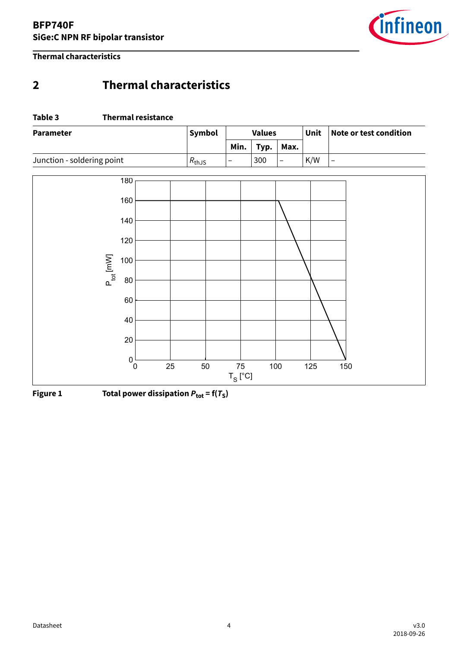

<span id="page-3-0"></span>**Thermal characteristics**

# **2 Thermal characteristics**

### **Table 3 Thermal resistance**

| <b>Parameter</b>           | Symbol     | <b>Values</b>            |      |                          | Unit | Note or test condition |
|----------------------------|------------|--------------------------|------|--------------------------|------|------------------------|
|                            |            | Min.                     | Typ. | Max.                     |      |                        |
| Junction - soldering point | $R_{thJS}$ | $\overline{\phantom{m}}$ | 300  | $\overline{\phantom{a}}$ | K/W  | $\qquad \qquad -$      |
| 180                        |            |                          |      |                          |      |                        |
| 160                        |            |                          |      |                          |      |                        |
| 140                        |            |                          |      |                          |      |                        |
| 120                        |            |                          |      |                          |      |                        |
| 100                        |            |                          |      |                          |      |                        |
| $P_{tot}$ [mW]<br>80       |            |                          |      |                          |      |                        |
| 60                         |            |                          |      |                          |      |                        |
| 40                         |            |                          |      |                          |      |                        |
| $20\,$                     |            |                          |      |                          |      |                        |
| $^{0}$ 0                   | 25<br>50   | 75                       |      | 100                      | 125  | 150                    |
|                            |            | $T_S$ [°C]               |      |                          |      |                        |

**Figure 1** Total power dissipation  $P_{\text{tot}} = f(T_S)$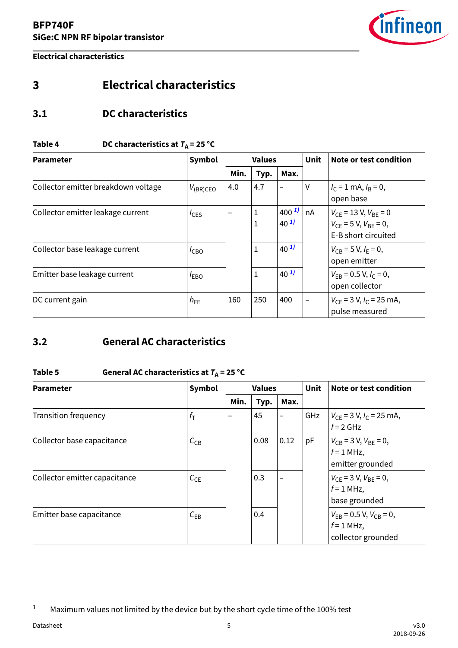

<span id="page-4-0"></span>**Electrical characteristics**

# **3 Electrical characteristics**

# **3.1 DC characteristics**

# **Table 4** DC characteristics at  $T_A = 25 \text{ °C}$

| <b>Parameter</b>                    | <b>Symbol</b> | <b>Values</b> |        |                       | <b>Unit</b> | Note or test condition                                                                |  |
|-------------------------------------|---------------|---------------|--------|-----------------------|-------------|---------------------------------------------------------------------------------------|--|
|                                     |               | Min.          | Typ.   | Max.                  |             |                                                                                       |  |
| Collector emitter breakdown voltage | $V_{(BR)CEO}$ | 4.0           | 4.7    |                       | V           | $I_C = 1$ mA, $I_B = 0$ ,<br>open base                                                |  |
| Collector emitter leakage current   | $I_{CES}$     |               | 1<br>1 | $400^{1}$<br>$40^{1}$ | nA          | $V_{CF}$ = 13 V, $V_{BF}$ = 0<br>$V_{CF}$ = 5 V, $V_{BF}$ = 0,<br>E-B short circuited |  |
| Collector base leakage current      | $I_{CBO}$     |               | 1      | $40^{1}$              |             | $V_{CB} = 5 V, I_E = 0,$<br>open emitter                                              |  |
| Emitter base leakage current        | $I_{EBO}$     |               | 1      | $40^{1}$              |             | $V_{FB}$ = 0.5 V, $I_c$ = 0,<br>open collector                                        |  |
| DC current gain                     | $h_{FE}$      | 160           | 250    | 400                   |             | $V_{CE}$ = 3 V, $I_C$ = 25 mA,<br>pulse measured                                      |  |

# **3.2 General AC characteristics**

# Table 5 **General AC characteristics at**  $T_A$  **= 25 °C**

| <b>Parameter</b>              | Symbol           | <b>Values</b> |      |                          | <b>Unit</b> | Note or test condition                                                |  |
|-------------------------------|------------------|---------------|------|--------------------------|-------------|-----------------------------------------------------------------------|--|
|                               |                  | Min.          | Typ. | Max.                     |             |                                                                       |  |
| <b>Transition frequency</b>   | $f_{\mathsf{T}}$ | —             | 45   | $\overline{\phantom{0}}$ | GHz         | $V_{CE}$ = 3 V, $I_C$ = 25 mA,<br>$f = 2$ GHz                         |  |
| Collector base capacitance    | $C_{CB}$         |               | 0.08 | 0.12                     | pF          | $V_{CB}$ = 3 V, $V_{BE}$ = 0,<br>$f = 1$ MHz,<br>emitter grounded     |  |
| Collector emitter capacitance | $C_{CE}$         |               | 0.3  |                          |             | $V_{CF}$ = 3 V, $V_{BF}$ = 0,<br>$f = 1$ MHz,<br>base grounded        |  |
| Emitter base capacitance      | $C_{EB}$         |               | 0.4  |                          |             | $V_{EB}$ = 0.5 V, $V_{CB}$ = 0,<br>$f = 1$ MHz,<br>collector grounded |  |

<sup>&</sup>lt;sup>1</sup> Maximum values not limited by the device but by the short cycle time of the 100% test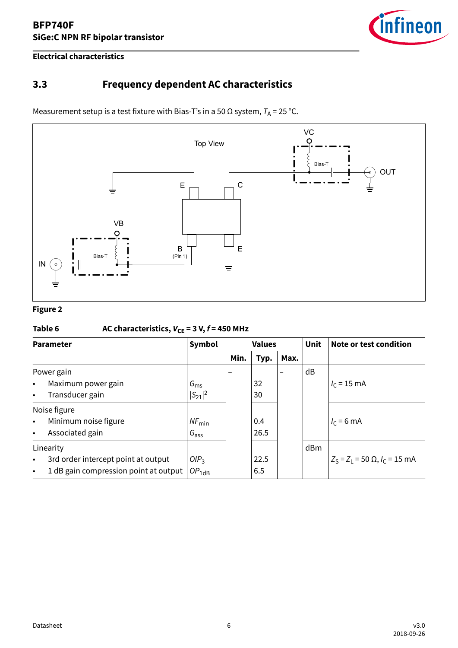

<span id="page-5-0"></span>**Electrical characteristics**

# **3.3 Frequency dependent AC characteristics**

Measurement setup is a test fixture with Bias-T's in a 50  $\Omega$  system,  $T_A$  = 25 °C.



### **Figure 2**

# Table 6  $AC characteristics, V_{CE} = 3 V, f = 450 MHz$

| <b>Parameter</b>                  |                                       | Symbol            |      | <b>Values</b> |      | <b>Unit</b> | Note or test condition                          |
|-----------------------------------|---------------------------------------|-------------------|------|---------------|------|-------------|-------------------------------------------------|
|                                   |                                       |                   | Min. | Typ.          | Max. |             |                                                 |
| Power gain                        |                                       |                   |      |               |      | dB          |                                                 |
| Maximum power gain<br>$\bullet$   |                                       | $G_{\rm ms}$      |      | 32            |      |             | $I_c = 15$ mA                                   |
| Transducer gain<br>$\bullet$      |                                       | $ S_{21} ^2$      |      | 30            |      |             |                                                 |
| Noise figure                      |                                       |                   |      |               |      |             |                                                 |
| Minimum noise figure<br>$\bullet$ |                                       | $NF_{\text{min}}$ |      | 0.4           |      |             | $I_c = 6$ mA                                    |
| Associated gain<br>$\bullet$      |                                       | $G_{\text{ass}}$  |      | 26.5          |      |             |                                                 |
| Linearity                         |                                       |                   |      |               |      | dBm         |                                                 |
| $\bullet$                         | 3rd order intercept point at output   | OIP <sub>3</sub>  |      | 22.5          |      |             | $Z_S = Z_1 = 50 \Omega$ , $I_C = 15 \text{ mA}$ |
| $\bullet$                         | 1 dB gain compression point at output | $OP_{1dB}$        |      | 6.5           |      |             |                                                 |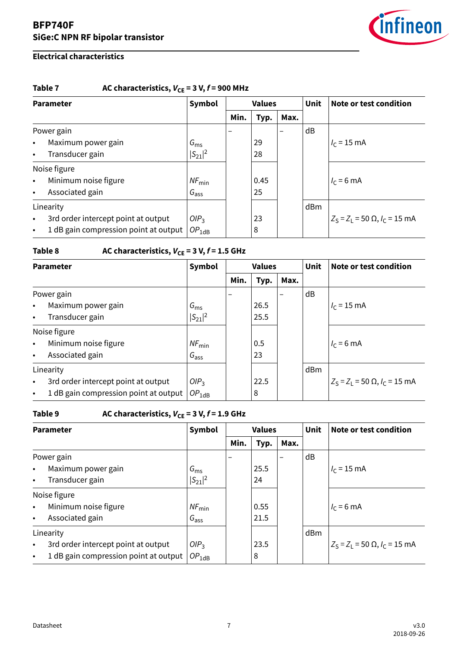

# **Electrical characteristics**

# Table 7  $\qquad$  AC characteristics,  $V_{CE} = 3 V, f = 900 MHz$

| <b>Parameter</b> |                                       | Symbol            | <b>Values</b>            |      |      | <b>Unit</b> | Note or test condition            |
|------------------|---------------------------------------|-------------------|--------------------------|------|------|-------------|-----------------------------------|
|                  |                                       |                   | Min.                     | Typ. | Max. |             |                                   |
|                  | Power gain                            |                   | $\overline{\phantom{0}}$ |      | -    | dB          |                                   |
| $\bullet$        | Maximum power gain                    | $G_{\rm ms}$      |                          | 29   |      |             | $I_c = 15$ mA                     |
| $\bullet$        | Transducer gain                       | $ S_{21} ^2$      |                          | 28   |      |             |                                   |
|                  | Noise figure                          |                   |                          |      |      |             |                                   |
| $\bullet$        | Minimum noise figure                  | $NF_{\text{min}}$ |                          | 0.45 |      |             | $I_c = 6$ mA                      |
| $\bullet$        | Associated gain                       | $G_{\text{ass}}$  |                          | 25   |      |             |                                   |
|                  | Linearity                             |                   |                          |      |      | dBm         |                                   |
| $\bullet$        | 3rd order intercept point at output   | OIP <sub>3</sub>  |                          | 23   |      |             | $Z_S = Z_1 = 50$ Ω, $I_C = 15$ mA |
| $\bullet$        | 1 dB gain compression point at output | $OP_{1dB}$        |                          | 8    |      |             |                                   |

# **Table 8** AC characteristics,  $V_{CE} = 3 V$ ,  $f = 1.5$  GHz

| <b>Parameter</b> |                                       | Symbol            |      | <b>Values</b> |      | Unit | Note or test condition                          |  |
|------------------|---------------------------------------|-------------------|------|---------------|------|------|-------------------------------------------------|--|
|                  |                                       |                   | Min. | Typ.          | Max. |      |                                                 |  |
|                  | Power gain                            |                   |      |               |      | dB   |                                                 |  |
| $\bullet$        | Maximum power gain                    | $G_{\rm ms}$      |      | 26.5          |      |      | $I_c = 15$ mA                                   |  |
| $\bullet$        | Transducer gain                       | $ S_{21} ^2$      |      | 25.5          |      |      |                                                 |  |
|                  | Noise figure                          |                   |      |               |      |      |                                                 |  |
| $\bullet$        | Minimum noise figure                  | $NF_{\text{min}}$ |      | 0.5           |      |      | $I_c = 6$ mA                                    |  |
| $\bullet$        | Associated gain                       | $G_{\text{ass}}$  |      | 23            |      |      |                                                 |  |
|                  | Linearity                             |                   |      |               |      | dBm  |                                                 |  |
| $\bullet$        | 3rd order intercept point at output   | OIP <sub>3</sub>  |      | 22.5          |      |      | $Z_S = Z_1 = 50 \Omega$ , $I_C = 15 \text{ mA}$ |  |
| $\bullet$        | 1 dB gain compression point at output | $OP_{1dB}$        |      | 8             |      |      |                                                 |  |

# Table 9 AC characteristics,  $V_{CE} = 3 V, f = 1.9 GHz$

| <b>Parameter</b> |                                       | Symbol            |      | <b>Values</b> |                          | <b>Unit</b> | Note or test condition                          |  |
|------------------|---------------------------------------|-------------------|------|---------------|--------------------------|-------------|-------------------------------------------------|--|
|                  |                                       |                   | Min. | Typ.          | Max.                     |             |                                                 |  |
|                  | Power gain                            |                   |      |               | $\overline{\phantom{0}}$ | dB          |                                                 |  |
| $\bullet$        | Maximum power gain                    | $G_{\rm ms}$      |      | 25.5          |                          |             | $I_c = 15$ mA                                   |  |
| $\bullet$        | Transducer gain                       | $ S_{21} ^2$      |      | 24            |                          |             |                                                 |  |
|                  | Noise figure                          |                   |      |               |                          |             |                                                 |  |
| $\bullet$        | Minimum noise figure                  | $NF_{\text{min}}$ |      | 0.55          |                          |             | $I_c = 6$ mA                                    |  |
| $\bullet$        | Associated gain                       | $G_{\text{ass}}$  |      | 21.5          |                          |             |                                                 |  |
|                  | Linearity                             |                   |      |               |                          | dBm         |                                                 |  |
| $\bullet$        | 3rd order intercept point at output   | OIP <sub>3</sub>  |      | 23.5          |                          |             | $Z_S = Z_1 = 50 \Omega$ , $I_C = 15 \text{ mA}$ |  |
| $\bullet$        | 1 dB gain compression point at output | $OP_{1dB}$        |      | 8             |                          |             |                                                 |  |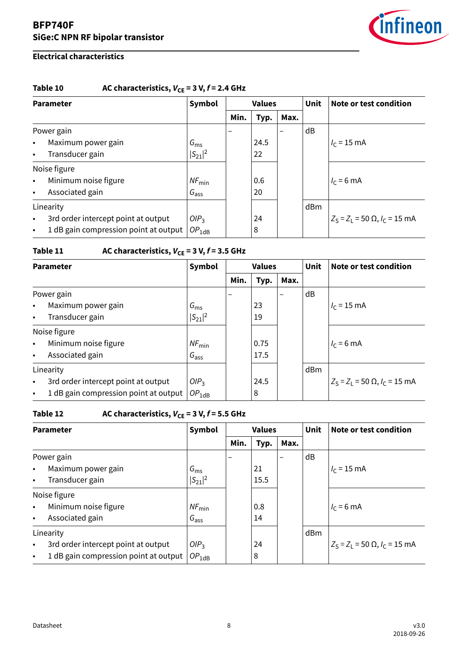

# **Electrical characteristics**

# Table 10  $AC$  characteristics,  $V_{CE} = 3 V, f = 2.4 GHz$

| <b>Parameter</b> |                                       | Symbol            |      | <b>Values</b> |                          | <b>Unit</b> | Note or test condition                          |
|------------------|---------------------------------------|-------------------|------|---------------|--------------------------|-------------|-------------------------------------------------|
|                  |                                       |                   | Min. | Typ.          | Max.                     |             |                                                 |
|                  | Power gain                            |                   |      |               | $\overline{\phantom{0}}$ | dB          |                                                 |
| $\bullet$        | Maximum power gain                    | $G_{\rm ms}$      |      | 24.5          |                          |             | $I_c = 15$ mA                                   |
| $\bullet$        | Transducer gain                       | $ S_{21} ^2$      |      | 22            |                          |             |                                                 |
|                  | Noise figure                          |                   |      |               |                          |             |                                                 |
| $\bullet$        | Minimum noise figure                  | $NF_{\text{min}}$ |      | 0.6           |                          |             | $I_c = 6$ mA                                    |
| $\bullet$        | Associated gain                       | $G_{\text{ass}}$  |      | 20            |                          |             |                                                 |
|                  | Linearity                             |                   |      |               |                          | dBm         |                                                 |
| $\bullet$        | 3rd order intercept point at output   | OIP <sub>3</sub>  |      | 24            |                          |             | $Z_S = Z_1 = 50 \Omega$ , $I_C = 15 \text{ mA}$ |
| $\bullet$        | 1 dB gain compression point at output | $OP_{1dB}$        |      | 8             |                          |             |                                                 |

# **Table 11** AC characteristics,  $V_{CE} = 3 V$ ,  $f = 3.5$  GHz

| <b>Parameter</b> |                                       | Symbol            |      | <b>Values</b> |                          | <b>Unit</b> | Note or test condition                          |
|------------------|---------------------------------------|-------------------|------|---------------|--------------------------|-------------|-------------------------------------------------|
|                  |                                       |                   | Min. | Typ.          | Max.                     |             |                                                 |
|                  | Power gain                            |                   |      |               | $\overline{\phantom{0}}$ | dB          |                                                 |
| $\bullet$        | Maximum power gain                    | $G_{\rm ms}$      |      | 23            |                          |             | $I_c = 15$ mA                                   |
| $\bullet$        | Transducer gain                       | $ S_{21} ^2$      |      | 19            |                          |             |                                                 |
|                  | Noise figure                          |                   |      |               |                          |             |                                                 |
| $\bullet$        | Minimum noise figure                  | $NF_{\text{min}}$ |      | 0.75          |                          |             | $I_c = 6$ mA                                    |
| $\bullet$        | Associated gain                       | $G_{\text{ass}}$  |      | 17.5          |                          |             |                                                 |
|                  | Linearity                             |                   |      |               |                          | dBm         |                                                 |
| $\bullet$        | 3rd order intercept point at output   | OIP <sub>3</sub>  |      | 24.5          |                          |             | $Z_S = Z_1 = 50 \Omega$ , $I_C = 15 \text{ mA}$ |
| $\bullet$        | 1 dB gain compression point at output | $OP_{1dB}$        |      | 8             |                          |             |                                                 |

# **Table 12** AC characteristics,  $V_{CE} = 3 V$ ,  $f = 5.5$  GHz

| <b>Parameter</b> |                                       | Symbol            |      | <b>Values</b> |                                  |     | Note or test condition                          |  |
|------------------|---------------------------------------|-------------------|------|---------------|----------------------------------|-----|-------------------------------------------------|--|
|                  |                                       |                   | Min. | Typ.          | Max.<br>$\overline{\phantom{0}}$ | dB  |                                                 |  |
| Power gain       |                                       |                   |      |               |                                  |     |                                                 |  |
| $\bullet$        | Maximum power gain                    | $G_{\rm ms}$      |      | 21            |                                  |     | $I_c = 15$ mA                                   |  |
| $\bullet$        | Transducer gain                       | $ S_{21} ^2$      |      | 15.5          |                                  |     |                                                 |  |
|                  | Noise figure                          |                   |      |               |                                  |     |                                                 |  |
| $\bullet$        | Minimum noise figure                  | $NF_{\text{min}}$ |      | 0.8           |                                  |     | $I_c = 6$ mA                                    |  |
| $\bullet$        | Associated gain                       | $G_{\text{ass}}$  |      | 14            |                                  |     |                                                 |  |
| Linearity        |                                       |                   |      |               |                                  | dBm |                                                 |  |
| $\bullet$        | 3rd order intercept point at output   | OIP <sub>3</sub>  |      | 24            |                                  |     | $Z_S = Z_1 = 50 \Omega$ , $I_C = 15 \text{ mA}$ |  |
| $\bullet$        | 1 dB gain compression point at output | $OP_{1dB}$        |      | 8             |                                  |     |                                                 |  |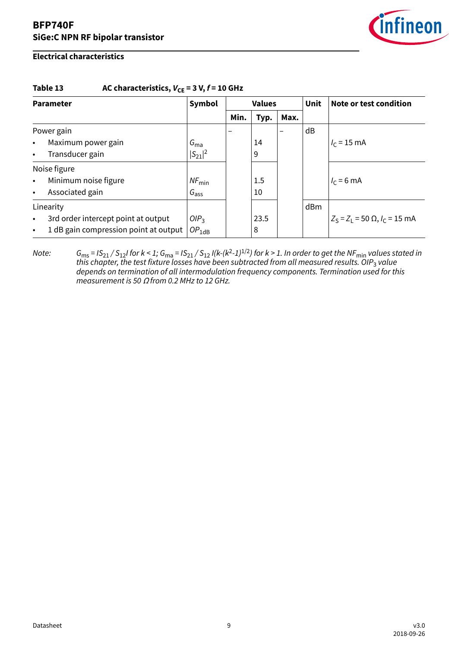

### **Electrical characteristics**

### Table 13 AC characteristics,  $V_{CE} = 3 V, f = 10 GHz$

| <b>Parameter</b> |                                       | Symbol<br><b>Values</b> |      |         |      | <b>Unit</b> | Note or test condition            |  |
|------------------|---------------------------------------|-------------------------|------|---------|------|-------------|-----------------------------------|--|
|                  |                                       |                         | Min. | Typ.    | Max. |             |                                   |  |
| Power gain       |                                       |                         |      |         |      | dB          |                                   |  |
| $\bullet$        | Maximum power gain                    | $G_{\text{ma}}$         |      | 14      |      |             | $I_c = 15$ mA                     |  |
| $\bullet$        | Transducer gain                       | $ S_{21} ^2$            |      | 9       |      |             |                                   |  |
| Noise figure     |                                       |                         |      |         |      |             |                                   |  |
| $\bullet$        | Minimum noise figure                  | $NF_{\text{min}}$       |      | $1.5\,$ |      |             | $I_c = 6$ mA                      |  |
| $\bullet$        | Associated gain                       | $G_{\text{ass}}$        |      | 10      |      |             |                                   |  |
| Linearity        |                                       |                         |      |         |      | dBm         |                                   |  |
| $\bullet$        | 3rd order intercept point at output   | OIP <sub>3</sub>        |      | 23.5    |      |             | $Z_S = Z_1 = 50$ Ω, $I_C = 15$ mA |  |
| $\bullet$        | 1 dB gain compression point at output | $OP_{1dB}$              |      | 8       |      |             |                                   |  |

Note:  $G_{\rm ms}$  = IS $_{21}/$  S $_{12}$ I for k < 1;  $G_{\rm ma}$  = IS $_{21}/$  S $_{12}$  I(k-(k<sup>2</sup>-1) $^{1/2}$ ) for k > 1. In order to get the NF $_{\rm min}$  values stated in this chapter, the test fixture losses have been subtracted from all measured results. OIP<sub>3</sub> value depends on termination of all intermodulation frequency components. Termination used for this measurement is 50 Ω from 0.2 MHz to 12 GHz.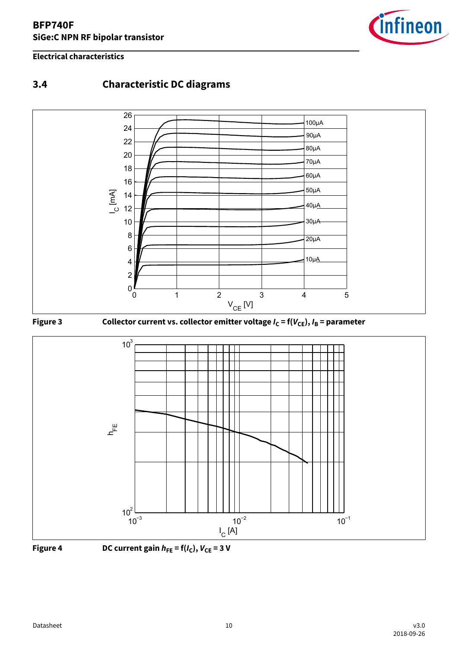### <span id="page-9-0"></span>**Electrical characteristics**



# **3.4 Characteristic DC diagrams**





**Figure 4** DC current gain  $h_{FE} = f(I_C)$ ,  $V_{CE} = 3$  V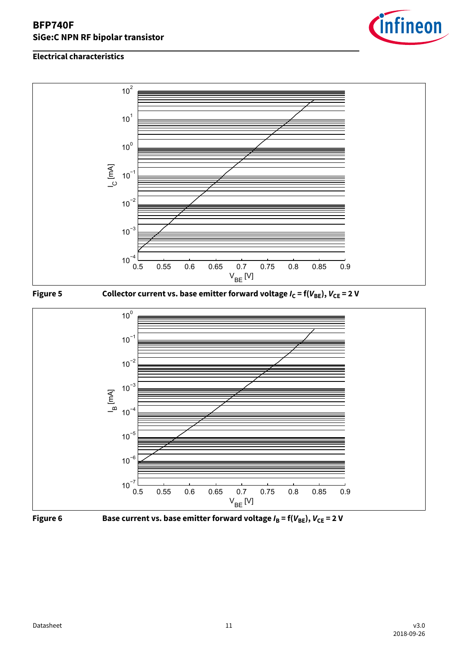





**Figure 5** Collector current vs. base emitter forward voltage  $I_C = f(V_{BE})$ ,  $V_{CE} = 2 V$ 





**Figure 6** Base current vs. base emitter forward voltage  $I_B = f(V_{BE})$ ,  $V_{CE} = 2 V$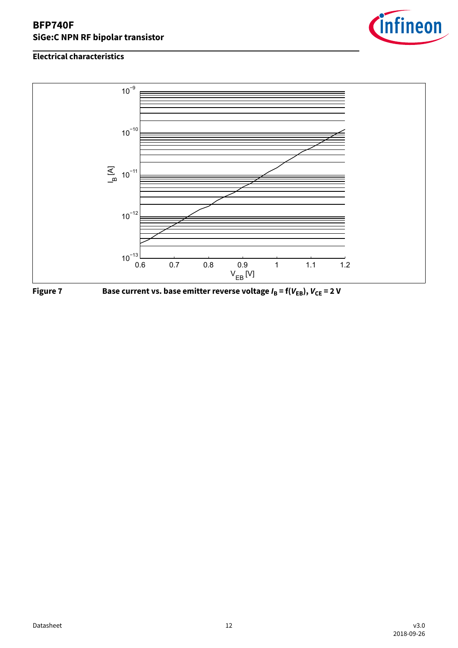





**Figure 7** Base current vs. base emitter reverse voltage  $I_B = f(V_{EB})$ ,  $V_{CE} = 2 V$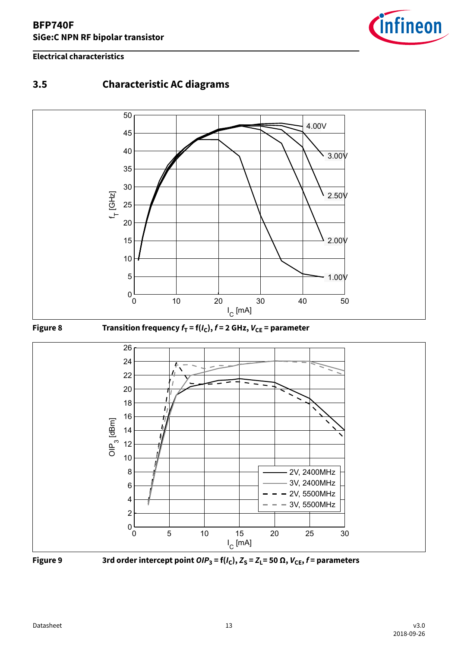

### <span id="page-12-0"></span>**Electrical characteristics**

# **3.5 Characteristic AC diagrams**









 **Figure 9** 3rd order intercept point  $\textsf{OIP}_3$  = f( $I_\mathsf{C}$ ),  $Z_\mathsf{S}$  =  $Z_\mathsf{L}$ = 50  $\Omega$ ,  $V_\mathsf{CE}$ ,  $f$  = parameters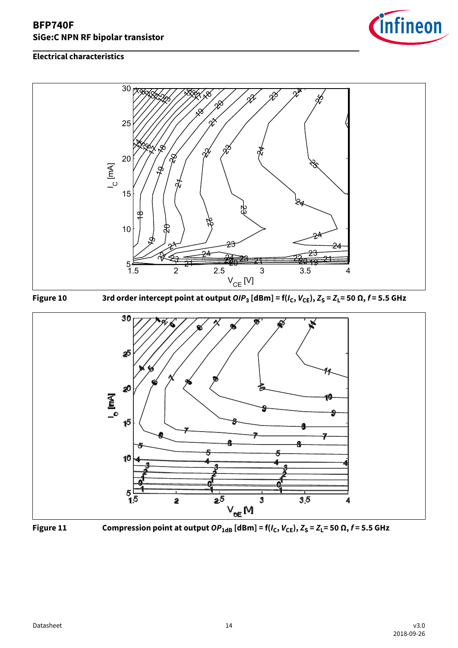









**Figure 11** Compression point at output  $OP_{1dB}$  [dBm] = f( $I_C$ ,  $V_{CE}$ ),  $Z_S = Z_L = 50 \Omega$ ,  $f = 5.5$  GHz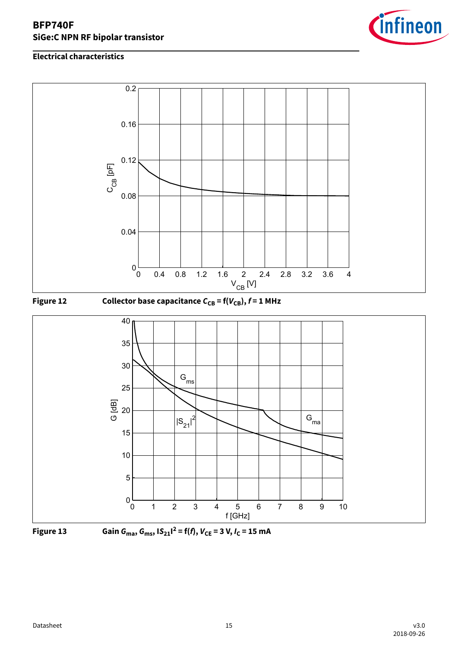









**Figure 13** Gain  $G_{\text{ma}}$ ,  $G_{\text{ms}}$ ,  $|S_{21}|^2 = f(f)$ ,  $V_{\text{CE}} = 3 \text{ V}$ ,  $I_{\text{C}} = 15 \text{ mA}$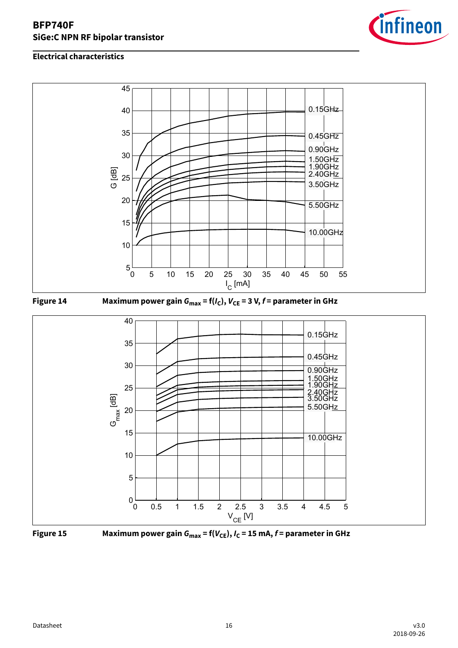









**Figure 15** Maximum power gain  $G_{\text{max}} = f(V_{\text{CE}}), I_C = 15 \text{ mA}, f = \text{parameter in GHz}$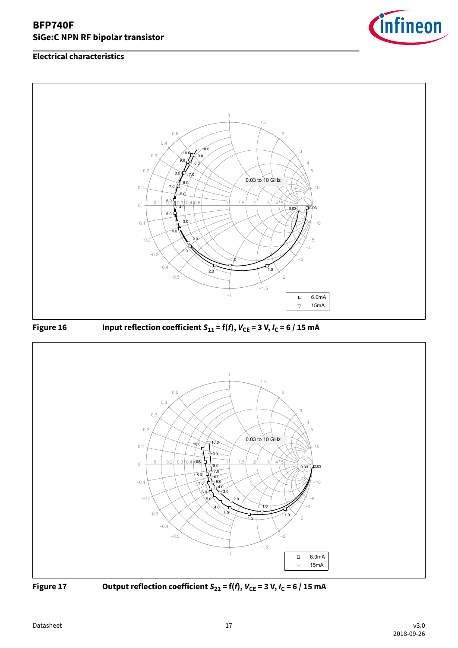







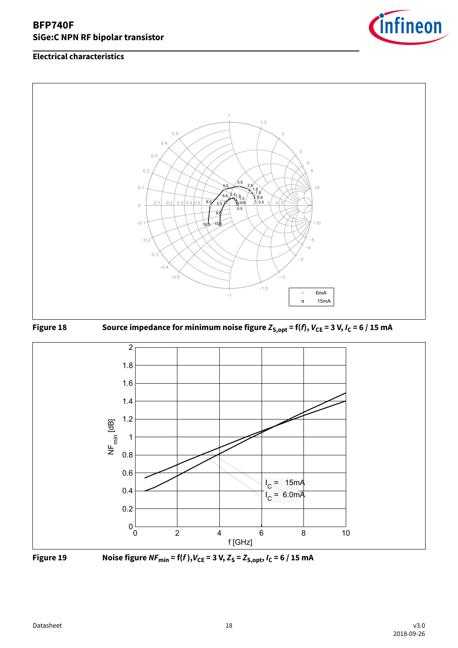









**Figure 19** Noise figure  $NF_{min} = f(f), V_{CE} = 3 V, Z_s = Z_{S, opt}, I_c = 6 / 15 mA$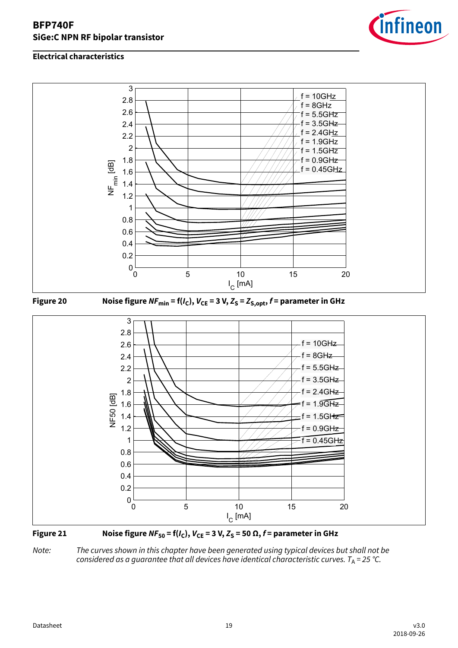

### **Electrical characteristics**







Note: The curves shown in this chapter have been generated using typical devices but shall not be considered as a guarantee that all devices have identical characteristic curves.  $T_A = 25$  °C.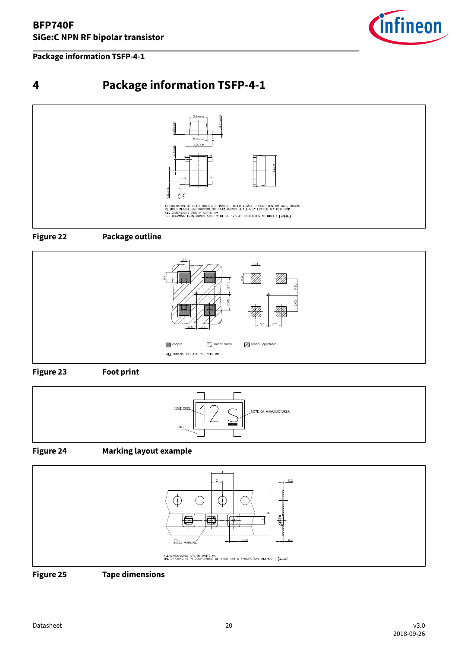<span id="page-19-0"></span>**Package information TSFP-4-1**



# **4 Package information TSFP-4-1**





**Figure 22 Package outline**



### **Figure 23 Foot print**



### **Figure 24 Marking layout example**



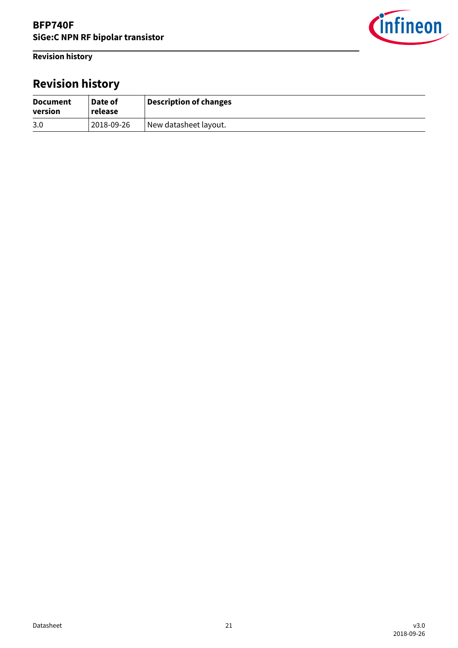<span id="page-20-0"></span>**Revision history**



# **Revision history**

| <b>Document</b><br>version | Date of<br>release | Description of changes |
|----------------------------|--------------------|------------------------|
| 3.0                        | 2018-09-26         | New datasheet layout.  |